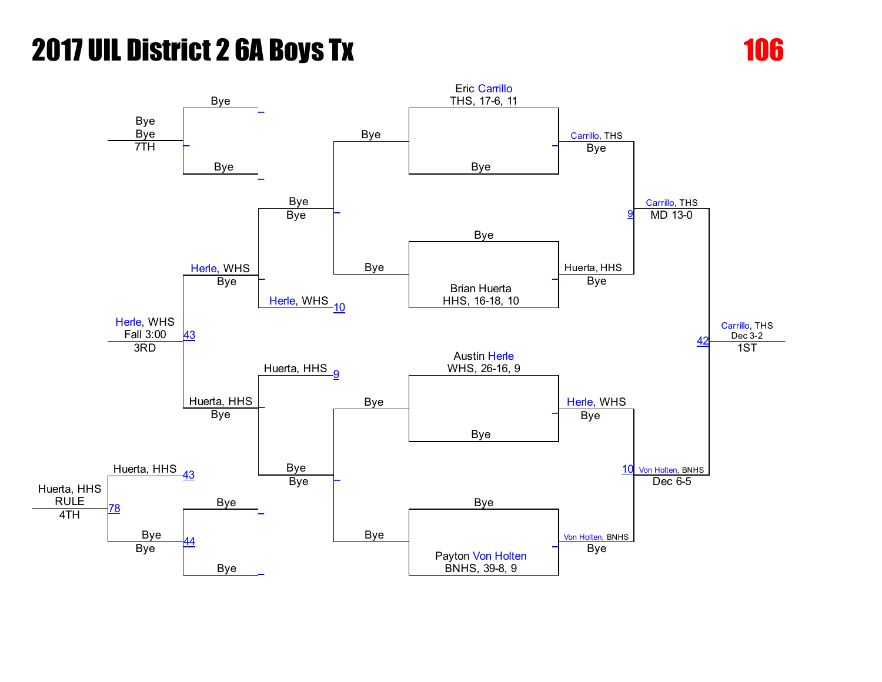

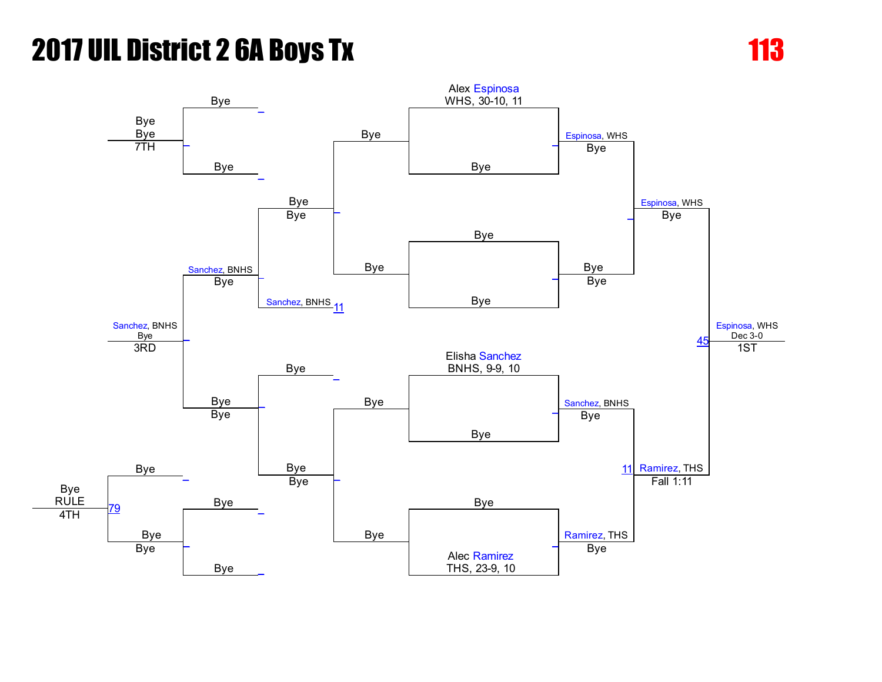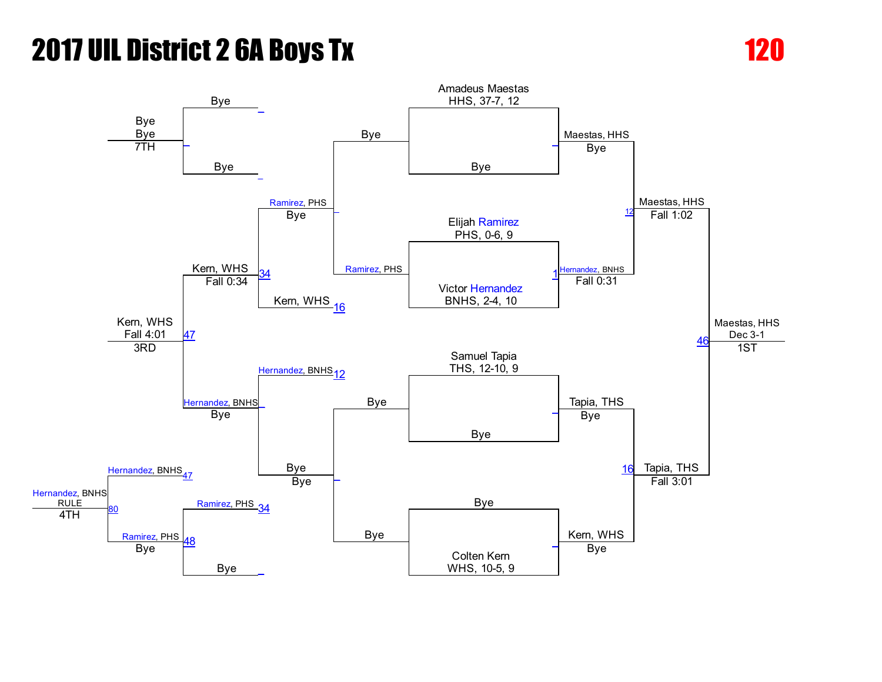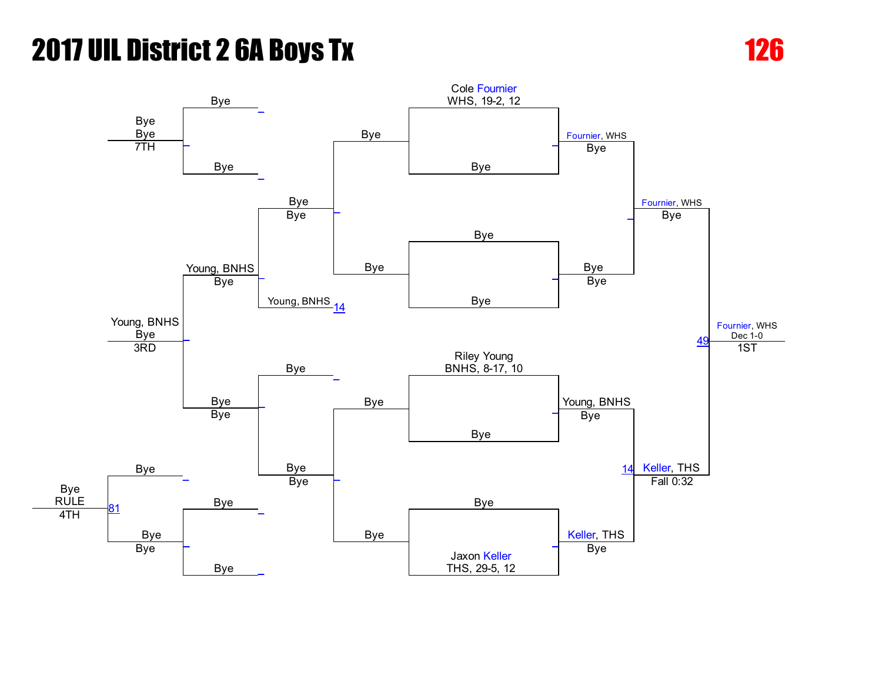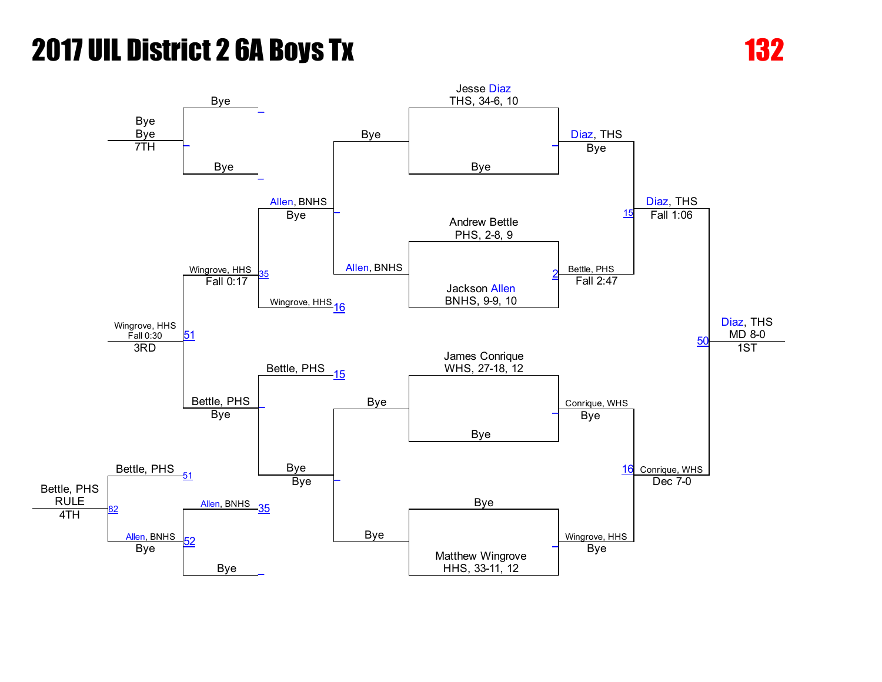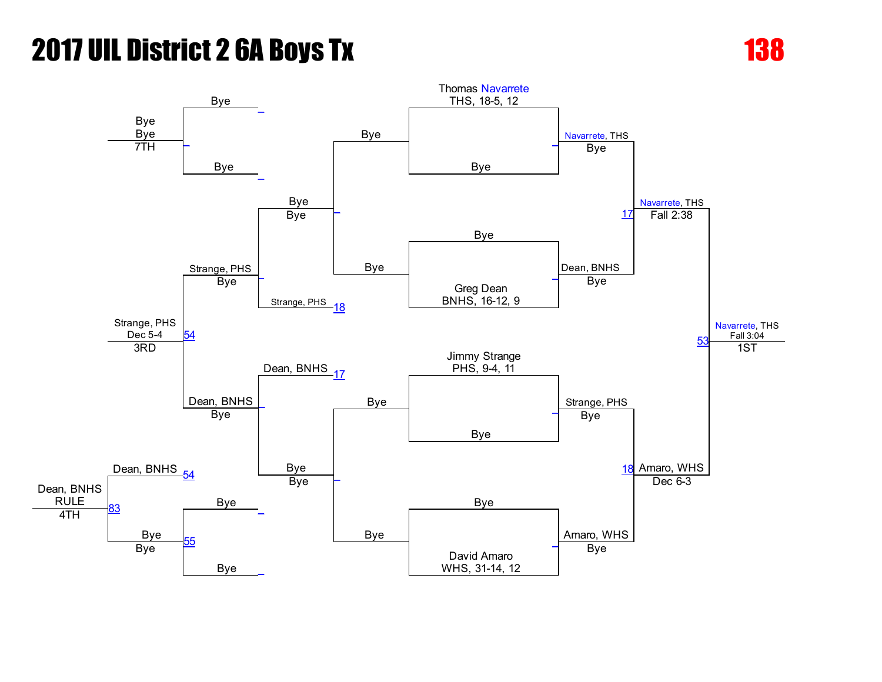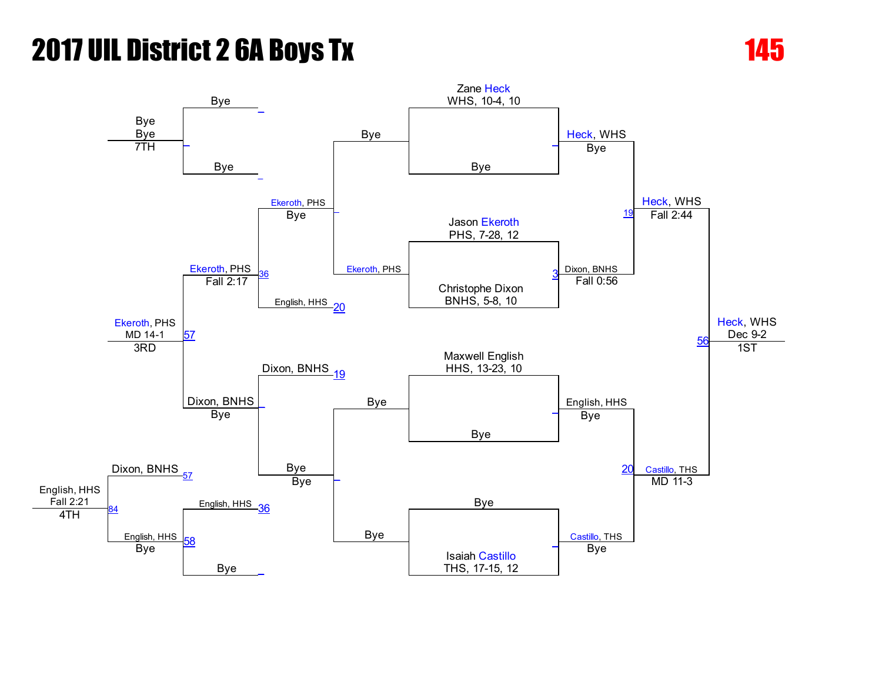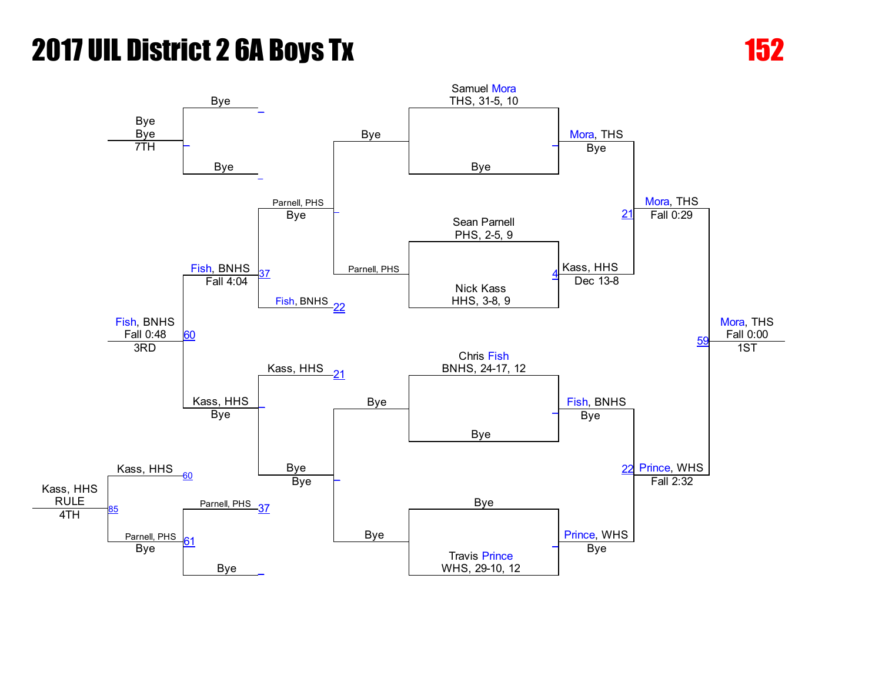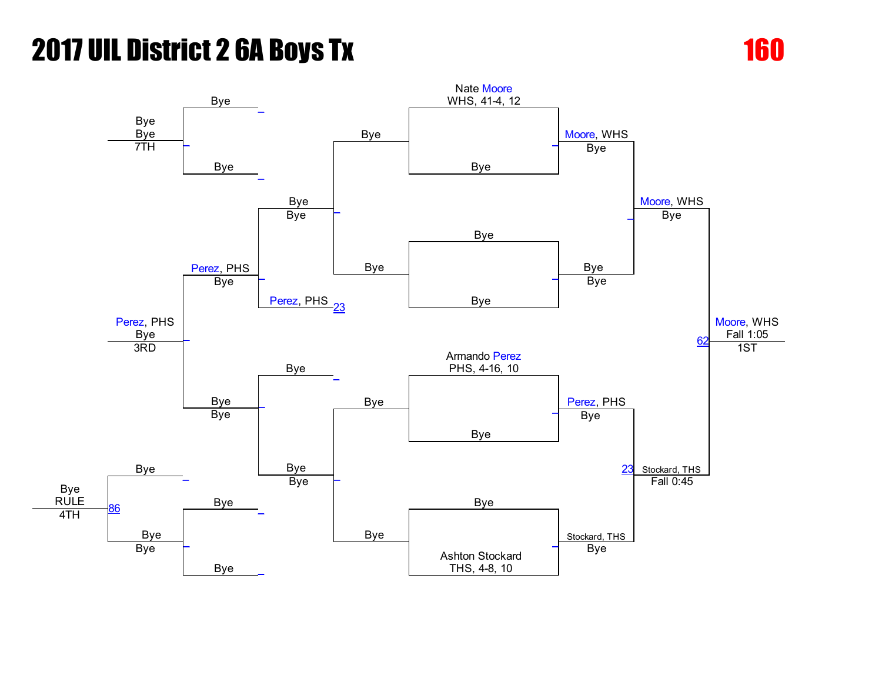

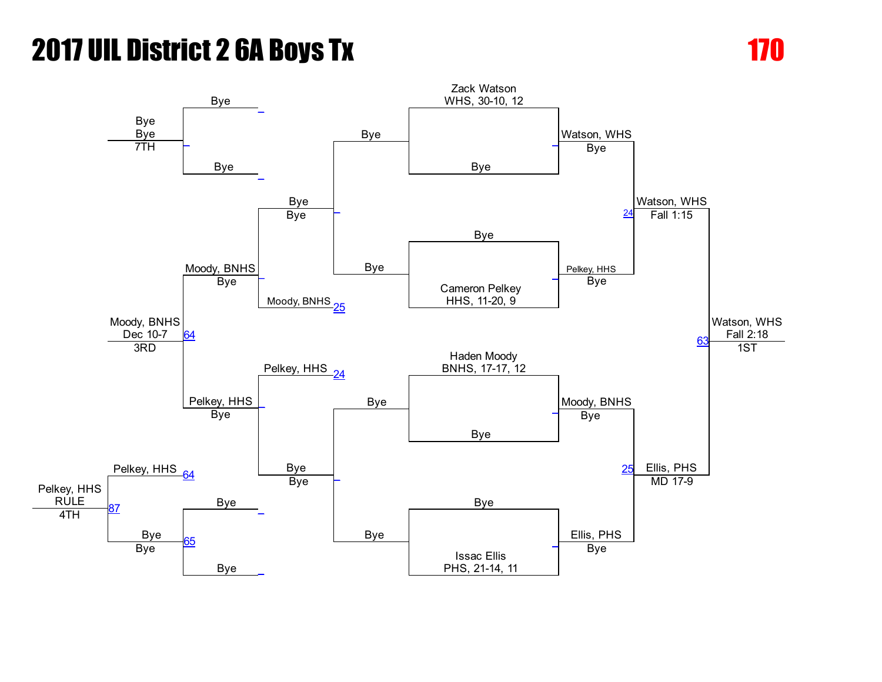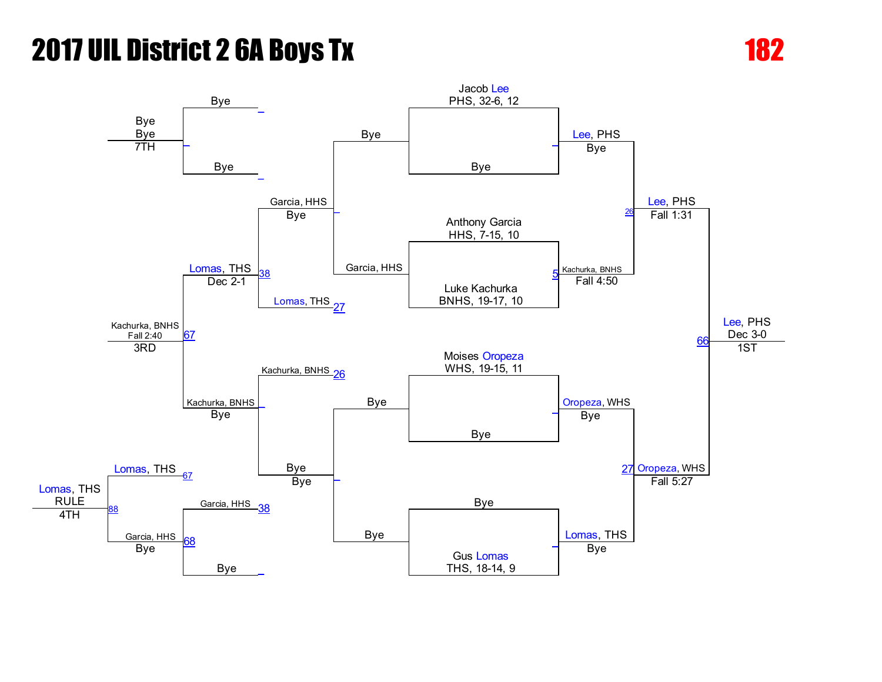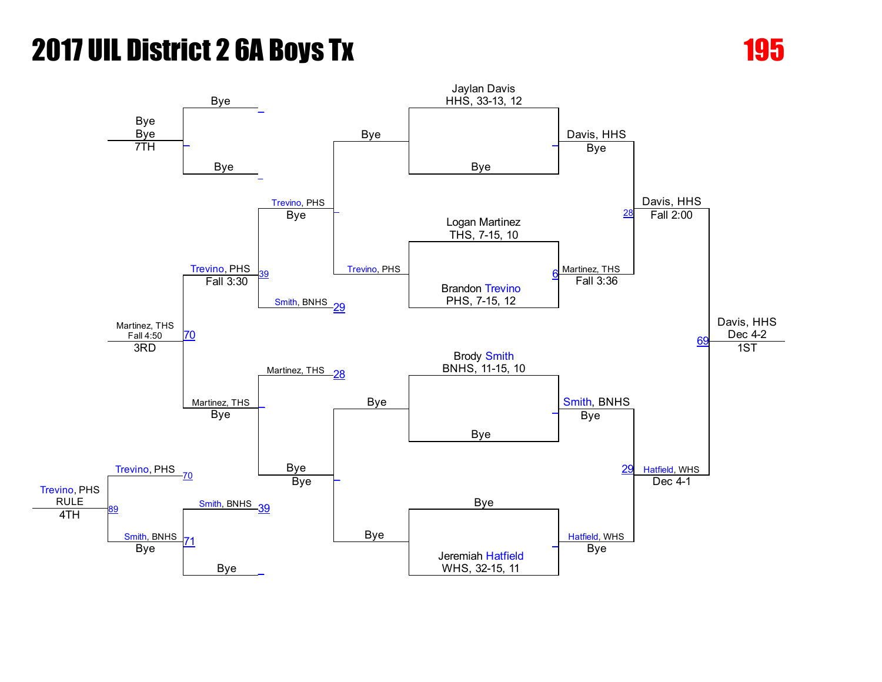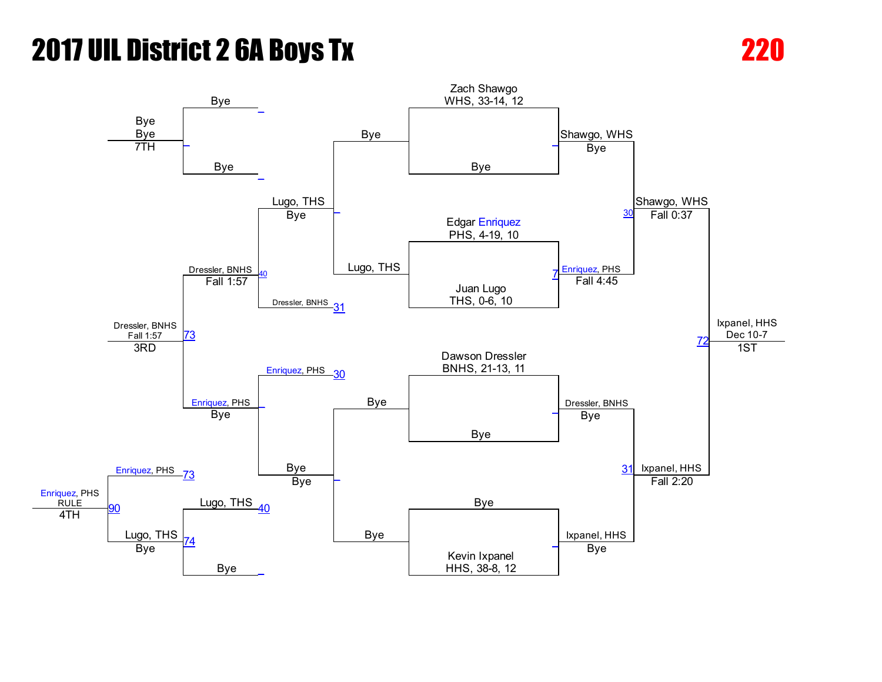